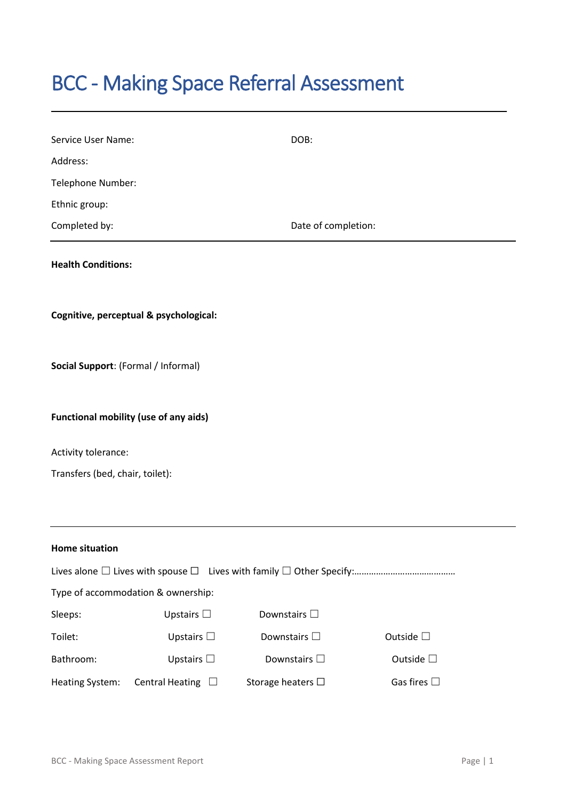# BCC - Making Space Referral Assessment

| Service User Name:                           |                                        | DOB:                 |                     |  |  |
|----------------------------------------------|----------------------------------------|----------------------|---------------------|--|--|
| Address:                                     |                                        |                      |                     |  |  |
| Telephone Number:                            |                                        |                      |                     |  |  |
| Ethnic group:                                |                                        |                      |                     |  |  |
| Completed by:                                |                                        | Date of completion:  |                     |  |  |
| <b>Health Conditions:</b>                    |                                        |                      |                     |  |  |
|                                              | Cognitive, perceptual & psychological: |                      |                     |  |  |
| Social Support: (Formal / Informal)          |                                        |                      |                     |  |  |
| <b>Functional mobility (use of any aids)</b> |                                        |                      |                     |  |  |
| Activity tolerance:                          |                                        |                      |                     |  |  |
| Transfers (bed, chair, toilet):              |                                        |                      |                     |  |  |
|                                              |                                        |                      |                     |  |  |
| <b>Home situation</b>                        |                                        |                      |                     |  |  |
|                                              |                                        |                      |                     |  |  |
| Type of accommodation & ownership:           |                                        |                      |                     |  |  |
| Sleeps:                                      | Upstairs $\square$                     | Downstairs $\square$ |                     |  |  |
| Toilet:                                      | Upstairs $\square$                     | Downstairs $\square$ | Outside $\square$   |  |  |
| Bathroom:                                    | Upstairs $\square$                     | Downstairs $\square$ | Outside $\square$   |  |  |
| Heating System:                              | Central Heating $\Box$                 | Storage heaters □    | Gas fires $\square$ |  |  |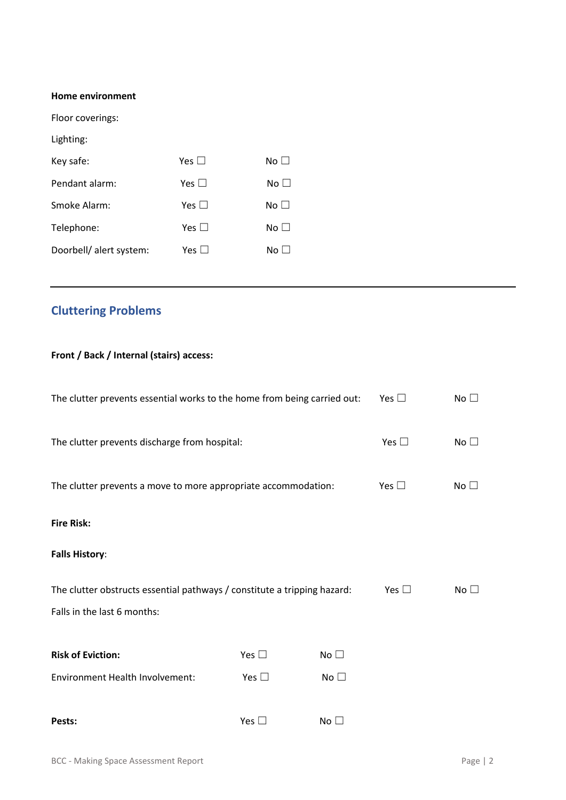#### **Home environment**

Floor coverings:

Lighting:

| Key safe:               | Yes $\Box$    | No $\Box$ |
|-------------------------|---------------|-----------|
| Pendant alarm:          | Yes $\Box$    | No $\Box$ |
| Smoke Alarm:            | Yes $\square$ | No $\Box$ |
| Telephone:              | Yes $\Box$    | No $\Box$ |
| Doorbell/ alert system: | Yes $\square$ | No $\Box$ |

## **Cluttering Problems**

### **Front / Back / Internal (stairs) access:**

| The clutter prevents essential works to the home from being carried out: |               |              | Yes $\square$ | No $\square$ |
|--------------------------------------------------------------------------|---------------|--------------|---------------|--------------|
| The clutter prevents discharge from hospital:                            |               |              | Yes $\square$ | No $\square$ |
| The clutter prevents a move to more appropriate accommodation:           |               |              | Yes $\square$ | No $\square$ |
| <b>Fire Risk:</b>                                                        |               |              |               |              |
| <b>Falls History:</b>                                                    |               |              |               |              |
| The clutter obstructs essential pathways / constitute a tripping hazard: |               |              | Yes $\square$ | No $\square$ |
| Falls in the last 6 months:                                              |               |              |               |              |
| <b>Risk of Eviction:</b>                                                 | Yes $\square$ | No $\square$ |               |              |
| <b>Environment Health Involvement:</b>                                   | Yes $\square$ | No $\square$ |               |              |
| Pests:                                                                   | Yes $\square$ | No $\Box$    |               |              |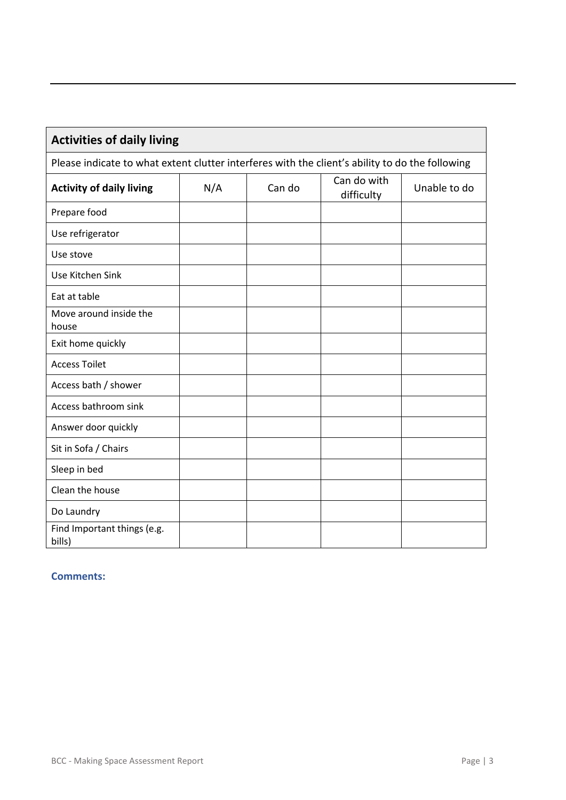| <b>Activities of daily living</b>                                                               |     |        |                           |              |
|-------------------------------------------------------------------------------------------------|-----|--------|---------------------------|--------------|
| Please indicate to what extent clutter interferes with the client's ability to do the following |     |        |                           |              |
| <b>Activity of daily living</b>                                                                 | N/A | Can do | Can do with<br>difficulty | Unable to do |
| Prepare food                                                                                    |     |        |                           |              |
| Use refrigerator                                                                                |     |        |                           |              |
| Use stove                                                                                       |     |        |                           |              |
| Use Kitchen Sink                                                                                |     |        |                           |              |
| Eat at table                                                                                    |     |        |                           |              |
| Move around inside the<br>house                                                                 |     |        |                           |              |
| Exit home quickly                                                                               |     |        |                           |              |
| <b>Access Toilet</b>                                                                            |     |        |                           |              |
| Access bath / shower                                                                            |     |        |                           |              |
| Access bathroom sink                                                                            |     |        |                           |              |
| Answer door quickly                                                                             |     |        |                           |              |
| Sit in Sofa / Chairs                                                                            |     |        |                           |              |
| Sleep in bed                                                                                    |     |        |                           |              |
| Clean the house                                                                                 |     |        |                           |              |
| Do Laundry                                                                                      |     |        |                           |              |
| Find Important things (e.g.<br>bills)                                                           |     |        |                           |              |

#### **Comments:**